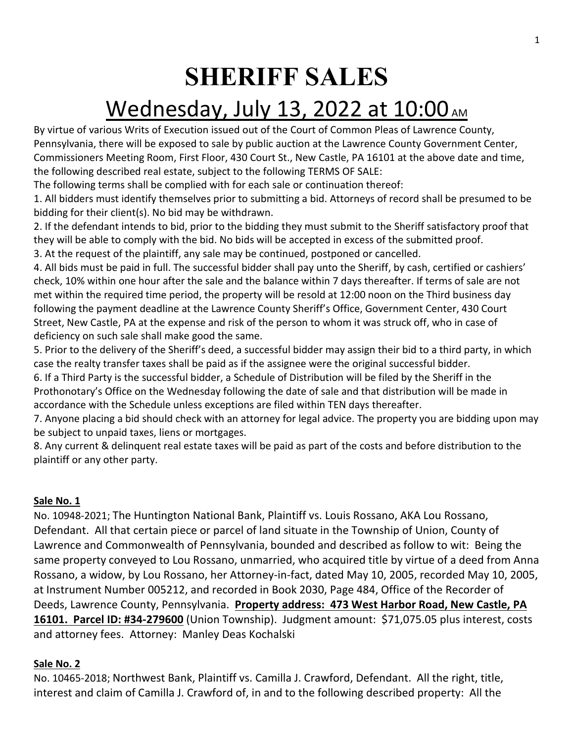# **SHERIFF SALES**

# Wednesday, July 13, 2022 at 10:00 AM

By virtue of various Writs of Execution issued out of the Court of Common Pleas of Lawrence County, Pennsylvania, there will be exposed to sale by public auction at the Lawrence County Government Center, Commissioners Meeting Room, First Floor, 430 Court St., New Castle, PA 16101 at the above date and time, the following described real estate, subject to the following TERMS OF SALE:

The following terms shall be complied with for each sale or continuation thereof:

1. All bidders must identify themselves prior to submitting a bid. Attorneys of record shall be presumed to be bidding for their client(s). No bid may be withdrawn.

2. If the defendant intends to bid, prior to the bidding they must submit to the Sheriff satisfactory proof that they will be able to comply with the bid. No bids will be accepted in excess of the submitted proof.

3. At the request of the plaintiff, any sale may be continued, postponed or cancelled.

4. All bids must be paid in full. The successful bidder shall pay unto the Sheriff, by cash, certified or cashiers' check, 10% within one hour after the sale and the balance within 7 days thereafter. If terms of sale are not met within the required time period, the property will be resold at 12:00 noon on the Third business day following the payment deadline at the Lawrence County Sheriff's Office, Government Center, 430 Court Street, New Castle, PA at the expense and risk of the person to whom it was struck off, who in case of deficiency on such sale shall make good the same.

5. Prior to the delivery of the Sheriff's deed, a successful bidder may assign their bid to a third party, in which case the realty transfer taxes shall be paid as if the assignee were the original successful bidder.

6. If a Third Party is the successful bidder, a Schedule of Distribution will be filed by the Sheriff in the Prothonotary's Office on the Wednesday following the date of sale and that distribution will be made in accordance with the Schedule unless exceptions are filed within TEN days thereafter.

7. Anyone placing a bid should check with an attorney for legal advice. The property you are bidding upon may be subject to unpaid taxes, liens or mortgages.

8. Any current & delinquent real estate taxes will be paid as part of the costs and before distribution to the plaintiff or any other party.

# **Sale No. 1**

No. 10948-2021; The Huntington National Bank, Plaintiff vs. Louis Rossano, AKA Lou Rossano, Defendant. All that certain piece or parcel of land situate in the Township of Union, County of Lawrence and Commonwealth of Pennsylvania, bounded and described as follow to wit: Being the same property conveyed to Lou Rossano, unmarried, who acquired title by virtue of a deed from Anna Rossano, a widow, by Lou Rossano, her Attorney-in-fact, dated May 10, 2005, recorded May 10, 2005, at Instrument Number 005212, and recorded in Book 2030, Page 484, Office of the Recorder of Deeds, Lawrence County, Pennsylvania. **Property address: 473 West Harbor Road, New Castle, PA 16101. Parcel ID: #34-279600** (Union Township). Judgment amount: \$71,075.05 plus interest, costs and attorney fees. Attorney: Manley Deas Kochalski

## **Sale No. 2**

No. 10465-2018; Northwest Bank, Plaintiff vs. Camilla J. Crawford, Defendant. All the right, title, interest and claim of Camilla J. Crawford of, in and to the following described property: All the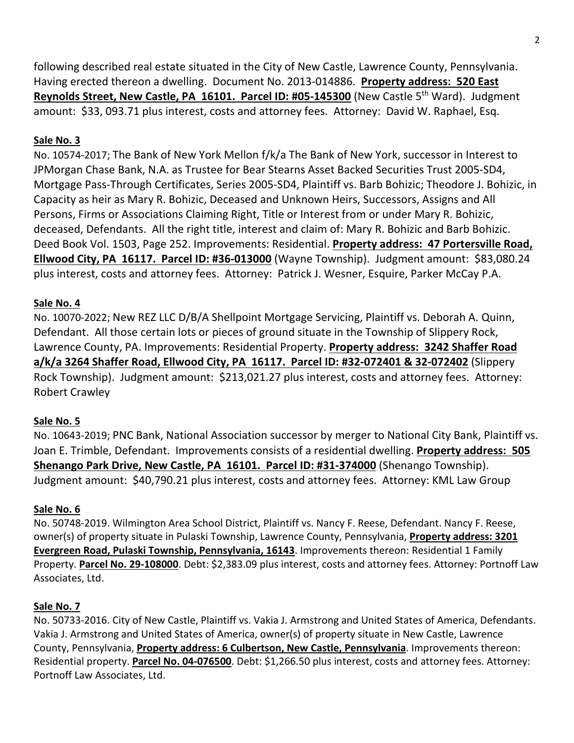following described real estate situated in the City of New Castle, Lawrence County, Pennsylvania. Having erected thereon a dwelling. Document No. 2013-014886. **Property address: 520 East Reynolds Street, New Castle, PA 16101. Parcel ID: #05-145300** (New Castle 5<sup>th</sup> Ward). Judgment amount: \$33, 093.71 plus interest, costs and attorney fees. Attorney: David W. Raphael, Esq.

## **Sale No. 3**

No. 10574-2017; The Bank of New York Mellon f/k/a The Bank of New York, successor in Interest to JPMorgan Chase Bank, N.A. as Trustee for Bear Stearns Asset Backed Securities Trust 2005-SD4, Mortgage Pass-Through Certificates, Series 2005-SD4, Plaintiff vs. Barb Bohizic; Theodore J. Bohizic, in Capacity as heir as Mary R. Bohizic, Deceased and Unknown Heirs, Successors, Assigns and All Persons, Firms or Associations Claiming Right, Title or Interest from or under Mary R. Bohizic, deceased, Defendants. All the right title, interest and claim of: Mary R. Bohizic and Barb Bohizic. Deed Book Vol. 1503, Page 252. Improvements: Residential. **Property address: 47 Portersville Road, Ellwood City, PA 16117. Parcel ID: #36-013000** (Wayne Township). Judgment amount: \$83,080.24 plus interest, costs and attorney fees. Attorney: Patrick J. Wesner, Esquire, Parker McCay P.A.

### **Sale No. 4**

No. 10070-2022; New REZ LLC D/B/A Shellpoint Mortgage Servicing, Plaintiff vs. Deborah A. Quinn, Defendant. All those certain lots or pieces of ground situate in the Township of Slippery Rock, Lawrence County, PA. Improvements: Residential Property. **Property address: 3242 Shaffer Road a/k/a 3264 Shaffer Road, Ellwood City, PA 16117. Parcel ID: #32-072401 & 32-072402** (Slippery Rock Township). Judgment amount: \$213,021.27 plus interest, costs and attorney fees. Attorney: Robert Crawley

## **Sale No. 5**

No. 10643-2019; PNC Bank, National Association successor by merger to National City Bank, Plaintiff vs. Joan E. Trimble, Defendant. Improvements consists of a residential dwelling. **Property address: 505 Shenango Park Drive, New Castle, PA 16101. Parcel ID: #31-374000** (Shenango Township). Judgment amount: \$40,790.21 plus interest, costs and attorney fees. Attorney: KML Law Group

## **Sale No. 6**

No. 50748-2019. Wilmington Area School District, Plaintiff vs. Nancy F. Reese, Defendant. Nancy F. Reese, owner(s) of property situate in Pulaski Township, Lawrence County, Pennsylvania, **Property address: 3201 Evergreen Road, Pulaski Township, Pennsylvania, 16143**. Improvements thereon: Residential 1 Family Property. **Parcel No. 29-108000**. Debt: \$2,383.09 plus interest, costs and attorney fees. Attorney: Portnoff Law Associates, Ltd.

# **Sale No. 7**

No. 50733-2016. City of New Castle, Plaintiff vs. Vakia J. Armstrong and United States of America, Defendants. Vakia J. Armstrong and United States of America, owner(s) of property situate in New Castle, Lawrence County, Pennsylvania, **Property address: 6 Culbertson, New Castle, Pennsylvania**. Improvements thereon: Residential property. **Parcel No. 04-076500**. Debt: \$1,266.50 plus interest, costs and attorney fees. Attorney: Portnoff Law Associates, Ltd.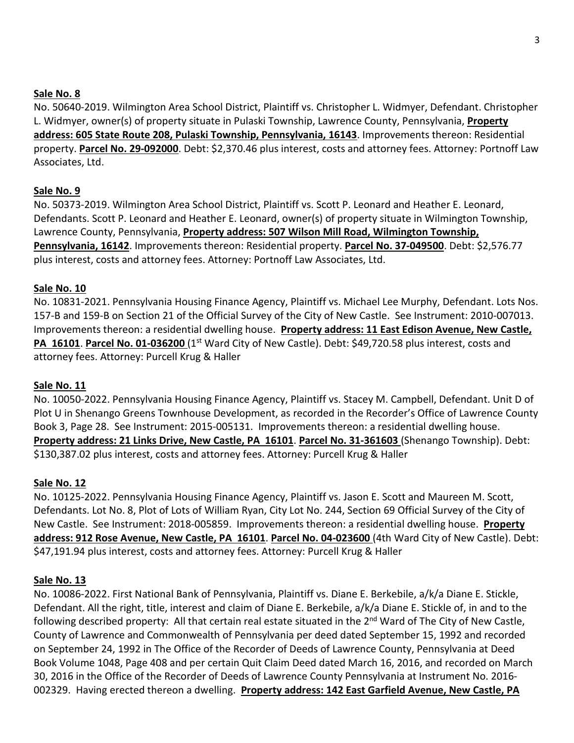#### **Sale No. 8**

No. 50640-2019. Wilmington Area School District, Plaintiff vs. Christopher L. Widmyer, Defendant. Christopher L. Widmyer, owner(s) of property situate in Pulaski Township, Lawrence County, Pennsylvania, **Property address: 605 State Route 208, Pulaski Township, Pennsylvania, 16143**. Improvements thereon: Residential property. **Parcel No. 29-092000**. Debt: \$2,370.46 plus interest, costs and attorney fees. Attorney: Portnoff Law Associates, Ltd.

#### **Sale No. 9**

No. 50373-2019. Wilmington Area School District, Plaintiff vs. Scott P. Leonard and Heather E. Leonard, Defendants. Scott P. Leonard and Heather E. Leonard, owner(s) of property situate in Wilmington Township, Lawrence County, Pennsylvania, **Property address: 507 Wilson Mill Road, Wilmington Township, Pennsylvania, 16142**. Improvements thereon: Residential property. **Parcel No. 37-049500**. Debt: \$2,576.77 plus interest, costs and attorney fees. Attorney: Portnoff Law Associates, Ltd.

#### **Sale No. 10**

No. 10831-2021. Pennsylvania Housing Finance Agency, Plaintiff vs. Michael Lee Murphy, Defendant. Lots Nos. 157-B and 159-B on Section 21 of the Official Survey of the City of New Castle. See Instrument: 2010-007013. Improvements thereon: a residential dwelling house. **Property address: 11 East Edison Avenue, New Castle, PA 16101. Parcel No. 01-036200** (1<sup>st</sup> Ward City of New Castle). Debt: \$49,720.58 plus interest, costs and attorney fees. Attorney: Purcell Krug & Haller

#### **Sale No. 11**

No. 10050-2022. Pennsylvania Housing Finance Agency, Plaintiff vs. Stacey M. Campbell, Defendant. Unit D of Plot U in Shenango Greens Townhouse Development, as recorded in the Recorder's Office of Lawrence County Book 3, Page 28. See Instrument: 2015-005131. Improvements thereon: a residential dwelling house. **Property address: 21 Links Drive, New Castle, PA 16101**. **Parcel No. 31-361603** (Shenango Township). Debt: \$130,387.02 plus interest, costs and attorney fees. Attorney: Purcell Krug & Haller

#### **Sale No. 12**

No. 10125-2022. Pennsylvania Housing Finance Agency, Plaintiff vs. Jason E. Scott and Maureen M. Scott, Defendants. Lot No. 8, Plot of Lots of William Ryan, City Lot No. 244, Section 69 Official Survey of the City of New Castle. See Instrument: 2018-005859. Improvements thereon: a residential dwelling house. **Property address: 912 Rose Avenue, New Castle, PA 16101**. **Parcel No. 04-023600** (4th Ward City of New Castle). Debt: \$47,191.94 plus interest, costs and attorney fees. Attorney: Purcell Krug & Haller

#### **Sale No. 13**

No. 10086-2022. First National Bank of Pennsylvania, Plaintiff vs. Diane E. Berkebile, a/k/a Diane E. Stickle, Defendant. All the right, title, interest and claim of Diane E. Berkebile, a/k/a Diane E. Stickle of, in and to the following described property: All that certain real estate situated in the 2<sup>nd</sup> Ward of The City of New Castle, County of Lawrence and Commonwealth of Pennsylvania per deed dated September 15, 1992 and recorded on September 24, 1992 in The Office of the Recorder of Deeds of Lawrence County, Pennsylvania at Deed Book Volume 1048, Page 408 and per certain Quit Claim Deed dated March 16, 2016, and recorded on March 30, 2016 in the Office of the Recorder of Deeds of Lawrence County Pennsylvania at Instrument No. 2016- 002329. Having erected thereon a dwelling. **Property address: 142 East Garfield Avenue, New Castle, PA**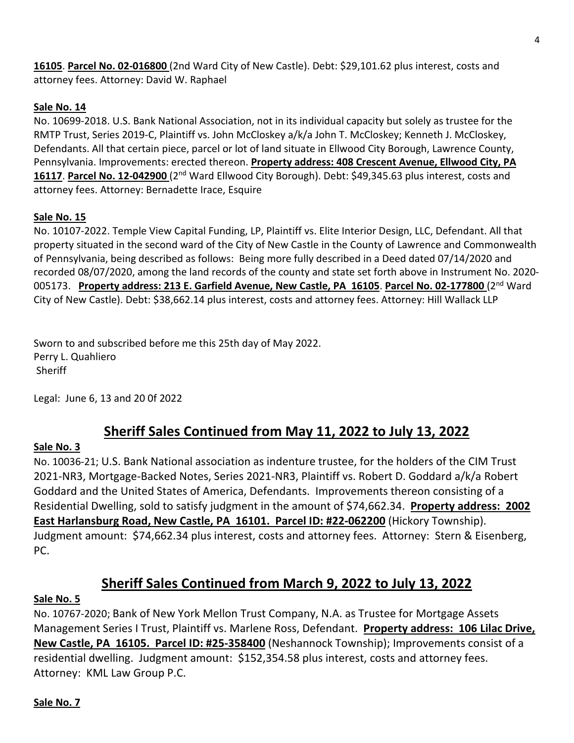**16105**. **Parcel No. 02-016800** (2nd Ward City of New Castle). Debt: \$29,101.62 plus interest, costs and attorney fees. Attorney: David W. Raphael

### **Sale No. 14**

No. 10699-2018. U.S. Bank National Association, not in its individual capacity but solely as trustee for the RMTP Trust, Series 2019-C, Plaintiff vs. John McCloskey a/k/a John T. McCloskey; Kenneth J. McCloskey, Defendants. All that certain piece, parcel or lot of land situate in Ellwood City Borough, Lawrence County, Pennsylvania. Improvements: erected thereon. **Property address: 408 Crescent Avenue, Ellwood City, PA 16117**. **Parcel No. 12-042900** (2nd Ward Ellwood City Borough). Debt: \$49,345.63 plus interest, costs and attorney fees. Attorney: Bernadette Irace, Esquire

#### **Sale No. 15**

No. 10107-2022. Temple View Capital Funding, LP, Plaintiff vs. Elite Interior Design, LLC, Defendant. All that property situated in the second ward of the City of New Castle in the County of Lawrence and Commonwealth of Pennsylvania, being described as follows: Being more fully described in a Deed dated 07/14/2020 and recorded 08/07/2020, among the land records of the county and state set forth above in Instrument No. 2020- 005173. **Property address: 213 E. Garfield Avenue, New Castle, PA 16105**. **Parcel No. 02-177800** (2nd Ward City of New Castle). Debt: \$38,662.14 plus interest, costs and attorney fees. Attorney: Hill Wallack LLP

Sworn to and subscribed before me this 25th day of May 2022. Perry L. Quahliero **Sheriff** 

Legal: June 6, 13 and 20 0f 2022

# **Sheriff Sales Continued from May 11, 2022 to July 13, 2022**

#### **Sale No. 3**

No. 10036-21; U.S. Bank National association as indenture trustee, for the holders of the CIM Trust 2021-NR3, Mortgage-Backed Notes, Series 2021-NR3, Plaintiff vs. Robert D. Goddard a/k/a Robert Goddard and the United States of America, Defendants. Improvements thereon consisting of a Residential Dwelling, sold to satisfy judgment in the amount of \$74,662.34. **Property address: 2002 East Harlansburg Road, New Castle, PA 16101. Parcel ID: #22-062200** (Hickory Township). Judgment amount: \$74,662.34 plus interest, costs and attorney fees. Attorney: Stern & Eisenberg, PC.

# **Sheriff Sales Continued from March 9, 2022 to July 13, 2022**

#### **Sale No. 5**

No. 10767-2020; Bank of New York Mellon Trust Company, N.A. as Trustee for Mortgage Assets Management Series I Trust, Plaintiff vs. Marlene Ross, Defendant. **Property address: 106 Lilac Drive, New Castle, PA 16105. Parcel ID: #25-358400** (Neshannock Township); Improvements consist of a residential dwelling. Judgment amount: \$152,354.58 plus interest, costs and attorney fees. Attorney: KML Law Group P.C.

#### **Sale No. 7**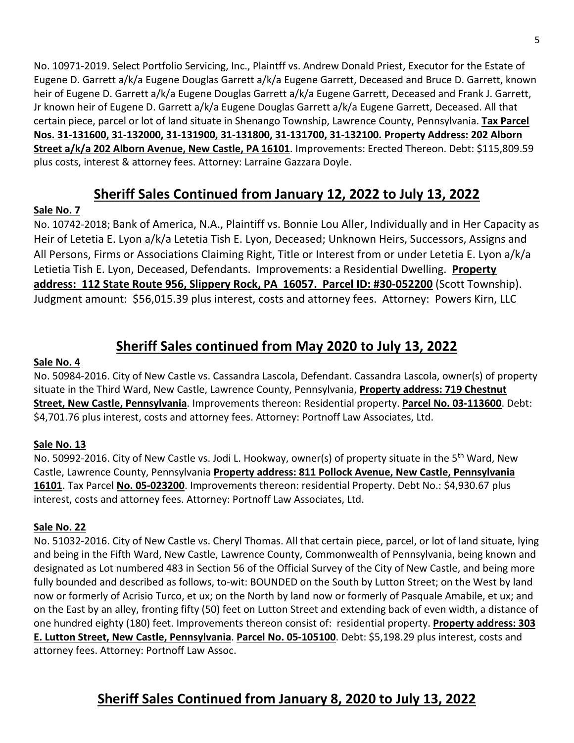No. 10971-2019. Select Portfolio Servicing, Inc., Plaintff vs. Andrew Donald Priest, Executor for the Estate of Eugene D. Garrett a/k/a Eugene Douglas Garrett a/k/a Eugene Garrett, Deceased and Bruce D. Garrett, known heir of Eugene D. Garrett a/k/a Eugene Douglas Garrett a/k/a Eugene Garrett, Deceased and Frank J. Garrett, Jr known heir of Eugene D. Garrett a/k/a Eugene Douglas Garrett a/k/a Eugene Garrett, Deceased. All that certain piece, parcel or lot of land situate in Shenango Township, Lawrence County, Pennsylvania. **Tax Parcel Nos. 31-131600, 31-132000, 31-131900, 31-131800, 31-131700, 31-132100. Property Address: 202 Alborn Street a/k/a 202 Alborn Avenue, New Castle, PA 16101**. Improvements: Erected Thereon. Debt: \$115,809.59 plus costs, interest & attorney fees. Attorney: Larraine Gazzara Doyle.

# **Sheriff Sales Continued from January 12, 2022 to July 13, 2022**

# **Sale No. 7**

No. 10742-2018; Bank of America, N.A., Plaintiff vs. Bonnie Lou Aller, Individually and in Her Capacity as Heir of Letetia E. Lyon a/k/a Letetia Tish E. Lyon, Deceased; Unknown Heirs, Successors, Assigns and All Persons, Firms or Associations Claiming Right, Title or Interest from or under Letetia E. Lyon a/k/a Letietia Tish E. Lyon, Deceased, Defendants. Improvements: a Residential Dwelling. **Property address: 112 State Route 956, Slippery Rock, PA 16057. Parcel ID: #30-052200** (Scott Township). Judgment amount: \$56,015.39 plus interest, costs and attorney fees. Attorney: Powers Kirn, LLC

# **Sheriff Sales continued from May 2020 to July 13, 2022**

## **Sale No. 4**

No. 50984-2016. City of New Castle vs. Cassandra Lascola, Defendant. Cassandra Lascola, owner(s) of property situate in the Third Ward, New Castle, Lawrence County, Pennsylvania, **Property address: 719 Chestnut Street, New Castle, Pennsylvania**. Improvements thereon: Residential property. **Parcel No. 03-113600**. Debt: \$4,701.76 plus interest, costs and attorney fees. Attorney: Portnoff Law Associates, Ltd.

## **Sale No. 13**

No. 50992-2016. City of New Castle vs. Jodi L. Hookway, owner(s) of property situate in the 5<sup>th</sup> Ward, New Castle, Lawrence County, Pennsylvania **Property address: 811 Pollock Avenue, New Castle, Pennsylvania 16101**. Tax Parcel **No. 05-023200**. Improvements thereon: residential Property. Debt No.: \$4,930.67 plus interest, costs and attorney fees. Attorney: Portnoff Law Associates, Ltd.

## **Sale No. 22**

No. 51032-2016. City of New Castle vs. Cheryl Thomas. All that certain piece, parcel, or lot of land situate, lying and being in the Fifth Ward, New Castle, Lawrence County, Commonwealth of Pennsylvania, being known and designated as Lot numbered 483 in Section 56 of the Official Survey of the City of New Castle, and being more fully bounded and described as follows, to-wit: BOUNDED on the South by Lutton Street; on the West by land now or formerly of Acrisio Turco, et ux; on the North by land now or formerly of Pasquale Amabile, et ux; and on the East by an alley, fronting fifty (50) feet on Lutton Street and extending back of even width, a distance of one hundred eighty (180) feet. Improvements thereon consist of: residential property. **Property address: 303 E. Lutton Street, New Castle, Pennsylvania**. **Parcel No. 05-105100**. Debt: \$5,198.29 plus interest, costs and attorney fees. Attorney: Portnoff Law Assoc.

# **Sheriff Sales Continued from January 8, 2020 to July 13, 2022**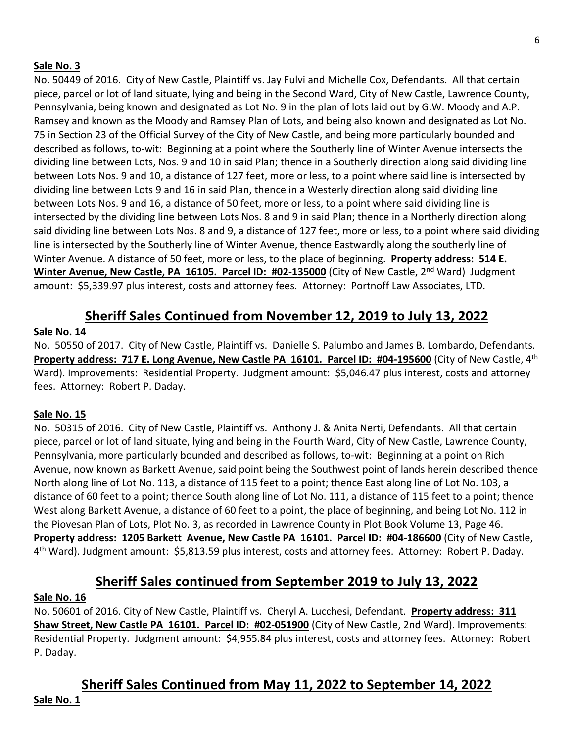#### **Sale No. 3**

No. 50449 of 2016. City of New Castle, Plaintiff vs. Jay Fulvi and Michelle Cox, Defendants. All that certain piece, parcel or lot of land situate, lying and being in the Second Ward, City of New Castle, Lawrence County, Pennsylvania, being known and designated as Lot No. 9 in the plan of lots laid out by G.W. Moody and A.P. Ramsey and known as the Moody and Ramsey Plan of Lots, and being also known and designated as Lot No. 75 in Section 23 of the Official Survey of the City of New Castle, and being more particularly bounded and described as follows, to-wit: Beginning at a point where the Southerly line of Winter Avenue intersects the dividing line between Lots, Nos. 9 and 10 in said Plan; thence in a Southerly direction along said dividing line between Lots Nos. 9 and 10, a distance of 127 feet, more or less, to a point where said line is intersected by dividing line between Lots 9 and 16 in said Plan, thence in a Westerly direction along said dividing line between Lots Nos. 9 and 16, a distance of 50 feet, more or less, to a point where said dividing line is intersected by the dividing line between Lots Nos. 8 and 9 in said Plan; thence in a Northerly direction along said dividing line between Lots Nos. 8 and 9, a distance of 127 feet, more or less, to a point where said dividing line is intersected by the Southerly line of Winter Avenue, thence Eastwardly along the southerly line of Winter Avenue. A distance of 50 feet, more or less, to the place of beginning. **Property address: 514 E.**  Winter Avenue, New Castle, PA 16105. Parcel ID: #02-135000 (City of New Castle, 2<sup>nd</sup> Ward) Judgment amount: \$5,339.97 plus interest, costs and attorney fees. Attorney: Portnoff Law Associates, LTD.

# **Sheriff Sales Continued from November 12, 2019 to July 13, 2022**

#### **Sale No. 14**

No. 50550 of 2017. City of New Castle, Plaintiff vs. Danielle S. Palumbo and James B. Lombardo, Defendants. **Property address: 717 E. Long Avenue, New Castle PA 16101. Parcel ID: #04-195600** (City of New Castle, 4th Ward). Improvements: Residential Property. Judgment amount: \$5,046.47 plus interest, costs and attorney fees. Attorney: Robert P. Daday.

#### **Sale No. 15**

No. 50315 of 2016. City of New Castle, Plaintiff vs. Anthony J. & Anita Nerti, Defendants. All that certain piece, parcel or lot of land situate, lying and being in the Fourth Ward, City of New Castle, Lawrence County, Pennsylvania, more particularly bounded and described as follows, to-wit: Beginning at a point on Rich Avenue, now known as Barkett Avenue, said point being the Southwest point of lands herein described thence North along line of Lot No. 113, a distance of 115 feet to a point; thence East along line of Lot No. 103, a distance of 60 feet to a point; thence South along line of Lot No. 111, a distance of 115 feet to a point; thence West along Barkett Avenue, a distance of 60 feet to a point, the place of beginning, and being Lot No. 112 in the Piovesan Plan of Lots, Plot No. 3, as recorded in Lawrence County in Plot Book Volume 13, Page 46. **Property address: 1205 Barkett Avenue, New Castle PA 16101. Parcel ID: #04-186600** (City of New Castle, 4<sup>th</sup> Ward). Judgment amount: \$5,813.59 plus interest, costs and attorney fees. Attorney: Robert P. Daday.

# **Sheriff Sales continued from September 2019 to July 13, 2022**

#### **Sale No. 16**

No. 50601 of 2016. City of New Castle, Plaintiff vs. Cheryl A. Lucchesi, Defendant. **Property address: 311 Shaw Street, New Castle PA 16101. Parcel ID: #02-051900** (City of New Castle, 2nd Ward). Improvements: Residential Property. Judgment amount: \$4,955.84 plus interest, costs and attorney fees. Attorney: Robert P. Daday.

# **Sheriff Sales Continued from May 11, 2022 to September 14, 2022**